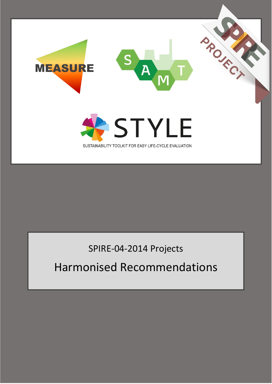

## SPIRE-04-2014 Projects

# Harmonised Recommendations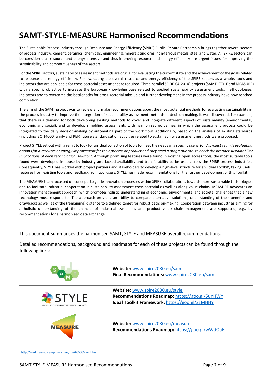### **SAMT-STYLE-MEASURE Harmonised Recommendations**

The Sustainable Process Industry through Resource and Energy Efficiency (SPIRE) Public–Private Partnership brings together several sectors of process industry: cement, ceramics, chemicals, engineering, minerals and ores, non-ferrous metals, steel and water. All SPIRE sectors can be considered as resource and energy intensive and thus improving resource and energy efficiency are urgent issues for improving the sustainability and competitiveness of the sectors.

For the SPIRE sectors, sustainability assessment methods are crucial for evaluating the current state and the achievement of the goals related to resource and energy efficiency. For evaluating the overall resource and energy efficiency of the SPIRE sectors as a whole, tools and indicators that are applicable for cross-sectorial assessment are required. Three parallel SPIRE-04-2014<sup>1</sup> projects (SAMT, STYLE and MEASURE) with a specific objective to increase the European knowledge base related to applied sustainability assessment tools, methodologies, indicators and to overcome the bottlenecks for cross-sectorial take-up and further development in the process industry have now reached completion.

The aim of the SAMT project was to review and make recommendations about the most potential methods for evaluating sustainability in the process industry to improve the integration of sustainability assessment methods in decision making. It was discovered, for example, that there is a demand for both developing existing methods to cover and integrate different aspects of sustainability (environmental, economic and social), and to develop simplified assessments with harmonised guidelines, in which the assessment process could be integrated to the daily decision-making by automating part of the work flow. Additionally, based on the analysis of existing standards (including ISO 14000 family and PEF) future standardisation activities related to sustainability assessment methods were proposed.

Project STYLE set out with a remit to look for an ideal collection of tools to meet the needs of a specific scenario: *'A project team is evaluating options for a resource or energy improvement for their process or product and they need a pragmatic tool to check the broader sustainability implications of each technological solution'*. Although promising features were found in existing open access tools, the most suitable tools found were developed in-house by industry and lacked availability and transferability to be used across the SPIRE process industries. Consequently, STYLE has worked with project partners and stakeholders to develop a high-level structure for an 'Ideal Toolkit', taking useful features from existing tools and feedback from tool users. STYLE has made recommendations for the further development of this Toolkit.

The MEASURE team focussed on concepts to guide innovation processes within SPIRE collaborations towards more sustainable technologies and to facilitate industrial cooperation in sustainability assessment cross-sectorial as well as along value chains. MEASURE advocates an innovation management approach, which promotes holistic understanding of economic, environmental and societal challenges that a new technology must respond to. The approach provides an ability to compare alternative solutions, understanding of their benefits and drawbacks as well as of the (remaining) distance to a defined target for robust decision-making. Cooperation between industries aiming for a holistic understanding of the chances of industrial symbioses and product value chain management are supported, e.g., by recommendations for a harmonised data exchange.

This document summarises the harmonised SAMT, STYLE and MEASURE overall recommendations.

**Website:** [www.spire2030.eu/samt](http://www.spire2030.eu/samt) **Final Recommendations:** [www.spire2030.eu/samt](http://www.spire2030.eu/samt) **Website:** [www.spire2030.eu/style](http://www.spire2030.eu/style) **Recommendations Roadmap:** <https://goo.gl/5uYHWY> **Ideal Toolkit Framework:** <https://goo.gl/2zMHHY> **Website:** [www.spire2030.eu/measure](http://www.spire2030.eu/measure) **MEASURE Recommendations Roadmap:** <https://goo.gl/wWdOaE>

Detailed recommendations, background and roadmaps for each of these projects can be found through the following links:

 $\overline{a}$ <sup>1</sup> [http://cordis.europa.eu/programme/rcn/665065\\_en.html](http://cordis.europa.eu/programme/rcn/665065_en.html)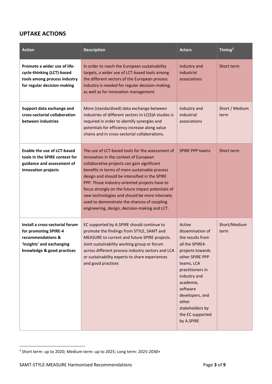#### **UPTAKE ACTIONS**

| <b>Action</b>                                                                                                                            | <b>Description</b>                                                                                                                                                                                                                                                                                                                                                                                                                                                                                | <b>Actors</b>                                                                                                                                                                                                                                                        | Timing <sup>2</sup>    |
|------------------------------------------------------------------------------------------------------------------------------------------|---------------------------------------------------------------------------------------------------------------------------------------------------------------------------------------------------------------------------------------------------------------------------------------------------------------------------------------------------------------------------------------------------------------------------------------------------------------------------------------------------|----------------------------------------------------------------------------------------------------------------------------------------------------------------------------------------------------------------------------------------------------------------------|------------------------|
| Promote a wider use of life-<br>cycle-thinking (LCT)-based<br>tools among process industry<br>for regular decision-making                | In order to reach the European sustainability<br>targets, a wider use of LCT-based tools among<br>the different sectors of the European process<br>industry is needed for regular decision-making,<br>as well as for innovation management.                                                                                                                                                                                                                                                       | Industry and<br>industrial<br>associations                                                                                                                                                                                                                           | Short term             |
| Support data exchange and<br>cross-sectorial collaboration<br>between industries                                                         | More (standardised) data exchange between<br>industries of different sectors in LC(S)A studies is<br>required in order to identify synergies and<br>potentials for efficiency increase along value<br>chains and in cross-sectorial collaborations.                                                                                                                                                                                                                                               | Industry and<br>industrial<br>associations                                                                                                                                                                                                                           | Short / Medium<br>term |
| <b>Enable the use of LCT-based</b><br>tools in the SPIRE context for<br>guidance and assessment of<br>innovation projects                | The use of LCT-based tools for the assessment of<br>innovation in the context of European<br>collaborative projects can gain significant<br>benefits in terms of more sustainable process<br>design and should be intensified in the SPIRE<br>PPP. Those industry-oriented projects have to<br>focus strongly on the future impact potentials of<br>new technologies and should be more intensely<br>used to demonstrate the chances of coupling<br>engineering, design, decision-making and LCT. | <b>SPIRE PPP teams</b>                                                                                                                                                                                                                                               | Short term             |
| Install a cross-sectorial forum<br>for promoting SPIRE-4<br>recommendations &<br>'insights' and exchanging<br>knowledge & good practices | EC supported by A.SPIRE should continue to<br>promote the findings from STYLE, SAMT and<br>MEASURE to current and future SPIRE projects.<br>Joint sustainability working group or forum<br>across different process industry sectors and LCA<br>or sustainability experts to share experiences<br>and good practices                                                                                                                                                                              | Active<br>dissemination of<br>the results from<br>all the SPIRE4-<br>projects towards<br>other SPIRE PPP<br>teams, LCA<br>practitioners in<br>industry and<br>academia,<br>software<br>developers, and<br>other<br>stakeholders by<br>the EC supported<br>by A.SPIRE | Short/Medium<br>term   |

 2 Short term: up to 2020; Medium term: up to 2025; Long term: 2025-2030+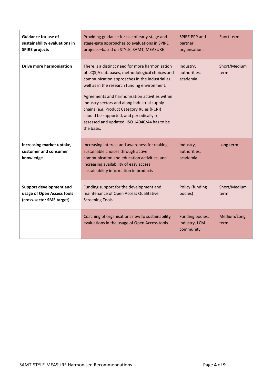| <b>Guidance for use of</b><br>sustainability evaluations in<br><b>SPIRE projects</b> | Providing guidance for use of early-stage and<br>stage-gate approaches to evaluations in SPIRE<br>projects -based on STYLE, SAMT, MEASURE                                                                                                                                                                                                                                                                                                                      | SPIRE PPP and<br>partner<br>organisations     | Short term           |
|--------------------------------------------------------------------------------------|----------------------------------------------------------------------------------------------------------------------------------------------------------------------------------------------------------------------------------------------------------------------------------------------------------------------------------------------------------------------------------------------------------------------------------------------------------------|-----------------------------------------------|----------------------|
| <b>Drive more harmonisation</b>                                                      | There is a distinct need for more harmonisation<br>of LC(S)A databases, methodological choices and<br>communication approaches in the industrial as<br>well as in the research funding environment.<br>Agreements and harmonisation activities within<br>industry sectors and along industrial supply<br>chains (e.g. Product Category Rules (PCR))<br>should be supported, and periodically re-<br>assessed and updated. ISO 14040/44 has to be<br>the basis. | Industry,<br>authorities,<br>academia         | Short/Medium<br>term |
| Increasing market uptake,<br>customer and consumer<br>knowledge                      | Increasing interest and awareness for making<br>sustainable choices through active<br>communication and education activities, and<br>increasing availability of easy access<br>sustainability information in products                                                                                                                                                                                                                                          | Industry,<br>authorities,<br>academia         | Long term            |
| Support development and<br>usage of Open Access tools<br>(cross-sector SME target)   | Funding support for the development and<br>maintenance of Open Access Qualitative<br><b>Screening Tools</b>                                                                                                                                                                                                                                                                                                                                                    | Policy (funding<br>bodies)                    | Short/Medium<br>term |
|                                                                                      | Coaching of organisations new to sustainability<br>evaluations in the usage of Open Access tools                                                                                                                                                                                                                                                                                                                                                               | Funding bodies,<br>industry, LCM<br>community | Medium/Long<br>term  |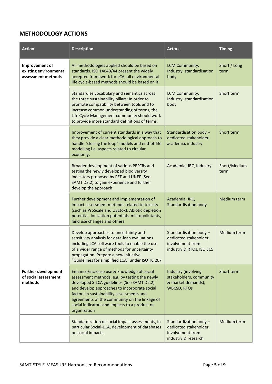#### **METHODOLOGY ACTIONS**

| <b>Action</b>                                                  | <b>Description</b>                                                                                                                                                                                                                                                                                                                                                                        | <b>Actors</b>                                                                               | <b>Timing</b>        |
|----------------------------------------------------------------|-------------------------------------------------------------------------------------------------------------------------------------------------------------------------------------------------------------------------------------------------------------------------------------------------------------------------------------------------------------------------------------------|---------------------------------------------------------------------------------------------|----------------------|
| Improvement of<br>existing environmental<br>assessment methods | All methodologies applied should be based on<br>standards. ISO 14040/44 present the widely<br>accepted framework for LCA; all environmental<br>life cycle-based methods should be based on it.                                                                                                                                                                                            | LCM Community,<br>Industry, standardisation<br>body                                         | Short / Long<br>term |
|                                                                | Standardise vocabulary and semantics across<br>the three sustainability pillars: In order to<br>promote compatibility between tools and to<br>increase common understanding of terms, the<br>Life Cycle Management community should work<br>to provide more standard definitions of terms.                                                                                                | LCM Community,<br>Industry, standardisation<br>body                                         | Short term           |
|                                                                | Improvement of current standards in a way that<br>they provide a clear methodological approach to<br>handle "closing the loop" models and end-of-life<br>modelling i.e. aspects related to circular<br>economy.                                                                                                                                                                           | Standardisation body +<br>dedicated stakeholder,<br>academia, industry                      | Short term           |
|                                                                | Broader development of various PEFCRs and<br>testing the newly developed biodiversity<br>indicators proposed by PEF and UNEP (See<br>SAMT D3.2) to gain experience and further<br>develop the approach                                                                                                                                                                                    | Academia, JRC, Industry                                                                     | Short/Medium<br>term |
|                                                                | Further development and implementation of<br>impact assessment methods related to toxicity<br>(such as ProScale and USEtox), Abiotic depletion<br>potential, Ionization potentials, micropollutants,<br>land use changes and others                                                                                                                                                       | Academia, JRC,<br><b>Standardisation body</b>                                               | Medium term          |
|                                                                | Develop approaches to uncertainty and<br>Standardisation body +<br>sensitivity analysis for data-lean evaluations<br>dedicated stakeholder,<br>involvement from<br>including LCA software tools to enable the use<br>of a wider range of methods for uncertainty<br>industry & RTOs, ISO SC5<br>propagation. Prepare a new initiative<br>"Guidelines for simplified LCA" under ISO TC 207 |                                                                                             | Medium term          |
| <b>Further development</b><br>of social assessment<br>methods  | Enhance/increase use & knowledge of social<br>assessment methods, e.g. by testing the newly<br>developed S-LCA guidelines (See SAMT D2.2)<br>and develop approaches to incorporate social<br>factors in sustainability assessments and<br>agreements of the community on the linkage of<br>social indicators and impacts to a product or<br>organization                                  | Industry (involving<br>stakeholders, community<br>& market demands),<br><b>WBCSD, RTOs</b>  | Short term           |
|                                                                | Standardization of social impact assessments, in<br>particular Social-LCA, development of databases<br>on social impacts                                                                                                                                                                                                                                                                  | Standardization body +<br>dedicated stakeholder,<br>involvement from<br>industry & research | Medium term          |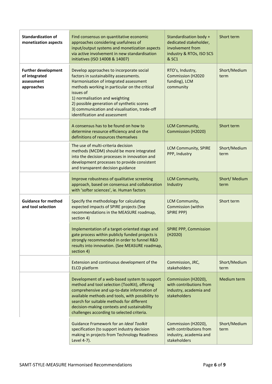| <b>Standardization of</b><br>monetization aspects                       | Find consensus on quantitative economic<br>approaches considering usefulness of<br>input/output systems and monetization aspects<br>via active involvement in new standardisation<br>initiatives (ISO 14008 & 14007)                                                                                                                                         | Standardisation body +<br>dedicated stakeholder,<br>involvement from<br>industry & RTOs, ISO SC5<br>& SC1 | Short term            |
|-------------------------------------------------------------------------|--------------------------------------------------------------------------------------------------------------------------------------------------------------------------------------------------------------------------------------------------------------------------------------------------------------------------------------------------------------|-----------------------------------------------------------------------------------------------------------|-----------------------|
| <b>Further development</b><br>of integrated<br>assessment<br>approaches | Develop approaches to incorporate social<br>factors in sustainability assessments.<br>Harmonisation of integrated assessment<br>methods working in particular on the critical<br>issues of<br>1) normalisation and weighting<br>2) possible generation of synthetic scores<br>3) communication and visualisation, trade-off<br>identification and assessment | RTO's, Industry,<br><b>Commission (H2020</b><br>funding), LCM<br>community                                | Short/Medium<br>term  |
|                                                                         | A consensus has to be found on how to<br>determine resource efficiency and on the<br>definitions of resources themselves                                                                                                                                                                                                                                     | LCM Community,<br>Commission (H2020)                                                                      | Short term            |
|                                                                         | The use of multi-criteria decision<br>methods (MCDM) should be more integrated<br>into the decision processes in innovation and<br>development processes to provide consistent<br>and transparent decision guidance                                                                                                                                          | <b>LCM Community, SPIRE</b><br>PPP, Industry                                                              | Short/Medium<br>term  |
|                                                                         | Improve robustness of qualitative screening<br>approach, based on consensus and collaboration<br>with 'softer sciences', ie. Human factors                                                                                                                                                                                                                   | LCM Community,<br>Industry                                                                                | Short/ Medium<br>term |
| <b>Guidance for method</b><br>and tool selection                        | Specify the methodology for calculating<br>expected impacts of SPIRE projects (See<br>recommendations in the MEASURE roadmap,<br>section 4)                                                                                                                                                                                                                  | LCM Community,<br>Commission (within<br><b>SPIRE PPP)</b>                                                 | Short term            |
|                                                                         | Implementation of a target-oriented stage and<br>gate process within publicly funded projects is<br>strongly recommended in order to funnel R&D<br>results into innovation. (See MEASURE roadmap,<br>section 4)                                                                                                                                              | <b>SPIRE PPP, Commission</b><br>(H2020)                                                                   |                       |
|                                                                         | Extension and continuous development of the<br><b>ELCD</b> platform                                                                                                                                                                                                                                                                                          | Commission, JRC,<br>stakeholders                                                                          | Short/Medium<br>term  |
|                                                                         | Development of a web-based system to support<br>method and tool selection (ToolKit), offering<br>comprehensive and up-to-date information of<br>available methods and tools, with possibility to<br>search for suitable methods for different<br>decision-making contexts and sustainability<br>challenges according to selected criteria.                   | Commission (H2020),<br>with contributions from<br>industry, academia and<br>stakeholders                  | Medium term           |
|                                                                         | Guidance Framework for an Ideal Toolkit<br>specification (to support industry decision<br>making in projects from Technology Readiness<br>Level 4-7).                                                                                                                                                                                                        | Commission (H2020),<br>with contributions from<br>industry, academia and<br>stakeholders                  | Short/Medium<br>term  |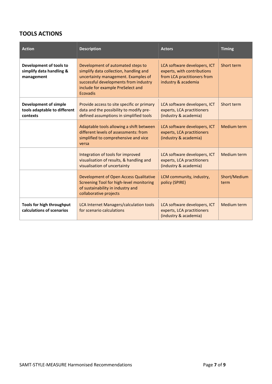#### **TOOLS ACTIONS**

| <b>Action</b>                                                            | <b>Description</b>                                                                                                                                                                                                  | <b>Actors</b>                                                                                                     | <b>Timing</b>        |
|--------------------------------------------------------------------------|---------------------------------------------------------------------------------------------------------------------------------------------------------------------------------------------------------------------|-------------------------------------------------------------------------------------------------------------------|----------------------|
| Development of tools to<br>simplify data handling &<br>management        | Development of automated steps to<br>simplify data collection, handling and<br>uncertainty management. Examples of<br>successful developments from industry<br>include for example PreSelect and<br><b>Ecovadis</b> | LCA software developers, ICT<br>experts, with contributions<br>from LCA practitioners from<br>industry & academia | Short term           |
| <b>Development of simple</b><br>tools adaptable to different<br>contexts | Provide access to site specific or primary<br>data and the possibility to modify pre-<br>defined assumptions in simplified tools                                                                                    | LCA software developers, ICT<br>experts, LCA practitioners<br>(industry & academia)                               | Short term           |
|                                                                          | Adaptable tools allowing a shift between<br>different levels of assessments: from<br>simplified to comprehensive and vice<br>versa                                                                                  | LCA software developers, ICT<br>experts, LCA practitioners<br>(industry & academia)                               | <b>Medium term</b>   |
|                                                                          | Integration of tools for improved<br>visualisation of results, & handling and<br>visualisation of uncertainty                                                                                                       | LCA software developers, ICT<br>experts, LCA practitioners<br>(industry & academia)                               | Medium term          |
|                                                                          | Development of Open Access Qualitative<br>Screening Tool for high-level monitoring<br>of sustainability in industry and<br>collaborative projects                                                                   | LCM community, industry,<br>policy (SPIRE)                                                                        | Short/Medium<br>term |
| Tools for high throughput<br>calculations of scenarios                   | <b>LCA Internet Managers/calculation tools</b><br>for scenario calculations                                                                                                                                         | LCA software developers, ICT<br>experts, LCA practitioners<br>(industry & academia)                               | Medium term          |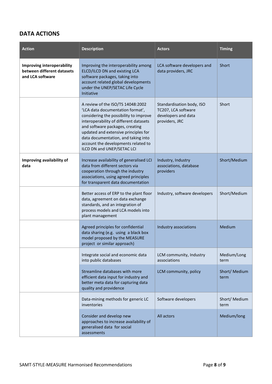#### **DATA ACTIONS**

| <b>Action</b>                                                                       | <b>Description</b>                                                                                                                                                                                                                                                                                                                               | <b>Actors</b>                                                                             | <b>Timing</b>         |
|-------------------------------------------------------------------------------------|--------------------------------------------------------------------------------------------------------------------------------------------------------------------------------------------------------------------------------------------------------------------------------------------------------------------------------------------------|-------------------------------------------------------------------------------------------|-----------------------|
| <b>Improving interoperability</b><br>between different datasets<br>and LCA software | Improving the interoperability among<br>ELCD/ILCD DN and existing LCA<br>software packages, taking into<br>account related global developments<br>under the UNEP/SETAC Life Cycle<br>Initiative                                                                                                                                                  | LCA software developers and<br>data providers, JRC                                        | Short                 |
|                                                                                     | A review of the ISO/TS 14048:2002<br>'LCA data documentation format',<br>considering the possibility to improve<br>interoperability of different datasets<br>and software packages, creating<br>updated and extensive principles for<br>data documentation, and taking into<br>account the developments related to<br>ILCD DN and UNEP/SETAC LCI | Standardisation body, ISO<br>TC207, LCA software<br>developers and data<br>providers, JRC | Short                 |
| Improving availability of<br>data                                                   | Increase availability of generalised LCI<br>data from different sectors via<br>cooperation through the industry<br>associations, using agreed principles<br>for transparent data documentation                                                                                                                                                   | Industry, Industry<br>associations, database<br>providers                                 | Short/Medium          |
|                                                                                     | Better access of ERP to the plant floor<br>data, agreement on data exchange<br>standards, and an integration of<br>process models and LCA models into<br>plant management                                                                                                                                                                        | Industry, software developers                                                             | Short/Medium          |
|                                                                                     | Agreed principles for confidential<br>data sharing (e.g. using a black box<br>model proposed by the MEASURE<br>project or similar approach)                                                                                                                                                                                                      | Industry associations                                                                     | Medium                |
|                                                                                     | Integrate social and economic data<br>into public databases                                                                                                                                                                                                                                                                                      | LCM community, Industry<br>associations                                                   | Medium/Long<br>term   |
|                                                                                     | Streamline databases with more<br>efficient data input for industry and<br>better meta data for capturing data<br>quality and providence                                                                                                                                                                                                         | LCM community, policy                                                                     | Short/ Medium<br>term |
|                                                                                     | Data-mining methods for generic LC<br>inventories                                                                                                                                                                                                                                                                                                | Software developers                                                                       | Short/ Medium<br>term |
|                                                                                     | Consider and develop new<br>approaches to increase availability of<br>generalised data for social<br>assessments                                                                                                                                                                                                                                 | All actors                                                                                | Medium/long           |